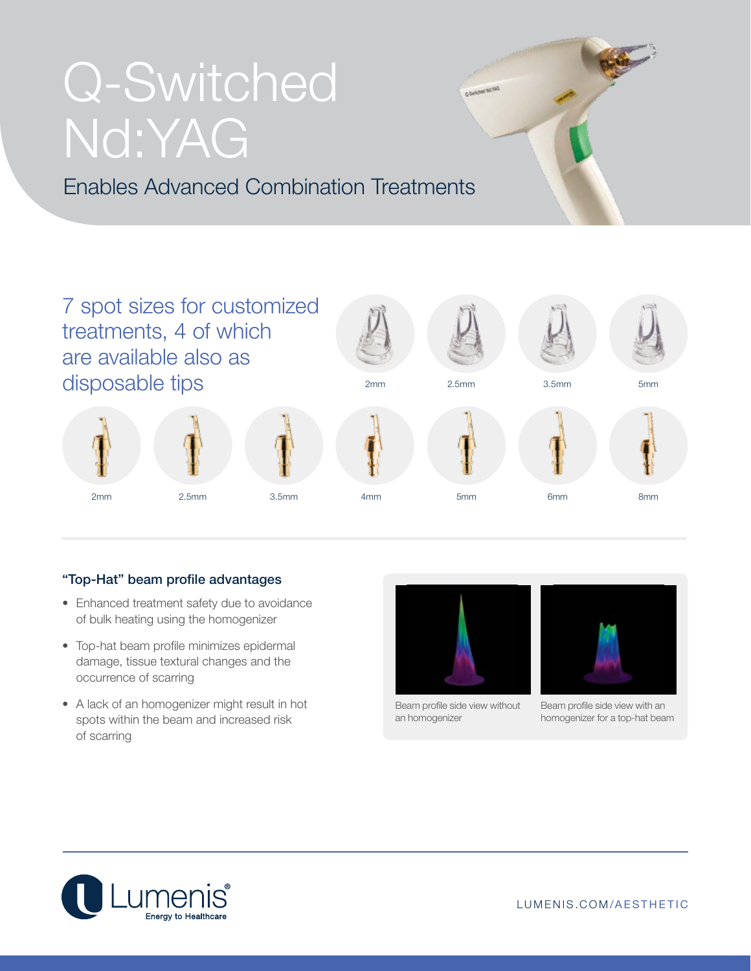# Q-Switched Nd:YAG

Enables Advanced Combination Treatments



### "Top-Hat" beam profile advantages

- Enhanced treatment safety due to avoidance of bulk heating using the homogenizer
- Top-hat beam profile minimizes epidermal damage, tissue textural changes and the occurrence of scarring
- A lack of an homogenizer might result in hot spots within the beam and increased risk of scarring



Beam profile side view without an homogenizer



Beam profile side view with an homogenizer for a top-hat beam